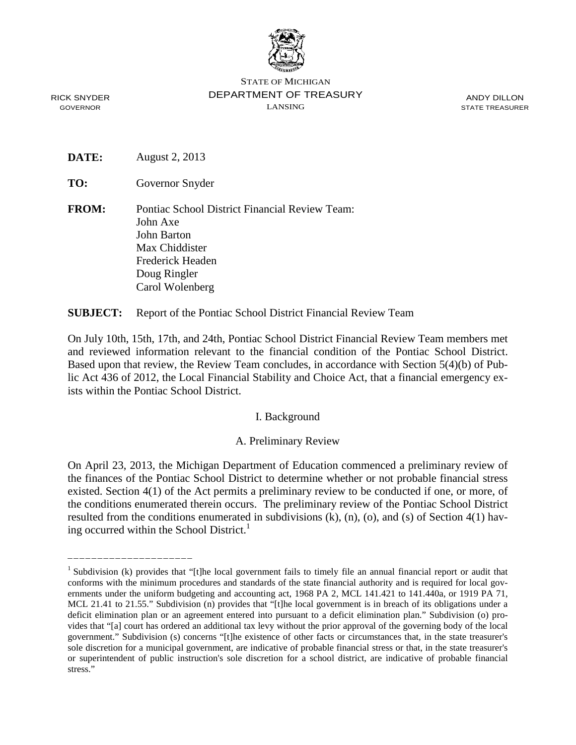

STATE OF MICHIGAN DEPARTMENT OF TREASURY LANSING

ANDY DILLON STATE TREASURER

RICK SNYDER GOVERNOR

**DATE:** August 2, 2013

\_\_\_\_\_\_\_\_\_\_\_\_\_\_\_\_\_\_\_\_\_

**TO:** Governor Snyder

**FROM:** Pontiac School District Financial Review Team: John Axe John Barton Max Chiddister Frederick Headen Doug Ringler Carol Wolenberg

**SUBJECT:** Report of the Pontiac School District Financial Review Team

On July 10th, 15th, 17th, and 24th, Pontiac School District Financial Review Team members met and reviewed information relevant to the financial condition of the Pontiac School District. Based upon that review, the Review Team concludes, in accordance with Section 5(4)(b) of Public Act 436 of 2012, the Local Financial Stability and Choice Act, that a financial emergency exists within the Pontiac School District.

I. Background

A. Preliminary Review

On April 23, 2013, the Michigan Department of Education commenced a preliminary review of the finances of the Pontiac School District to determine whether or not probable financial stress existed. Section 4(1) of the Act permits a preliminary review to be conducted if one, or more, of the conditions enumerated therein occurs. The preliminary review of the Pontiac School District resulted from the conditions enumerated in subdivisions (k), (n), (o), and (s) of Section 4(1) having occurred within the School District.<sup>1</sup>

<sup>&</sup>lt;sup>1</sup> Subdivision (k) provides that "[t]he local government fails to timely file an annual financial report or audit that conforms with the minimum procedures and standards of the state financial authority and is required for local governments under the uniform budgeting and accounting act, 1968 PA 2, MCL 141.421 to 141.440a, or 1919 PA 71, MCL 21.41 to 21.55." Subdivision (n) provides that "[t]he local government is in breach of its obligations under a deficit elimination plan or an agreement entered into pursuant to a deficit elimination plan." Subdivision (o) provides that "[a] court has ordered an additional tax levy without the prior approval of the governing body of the local government." Subdivision (s) concerns "[t]he existence of other facts or circumstances that, in the state treasurer's sole discretion for a municipal government, are indicative of probable financial stress or that, in the state treasurer's or superintendent of public instruction's sole discretion for a school district, are indicative of probable financial stress."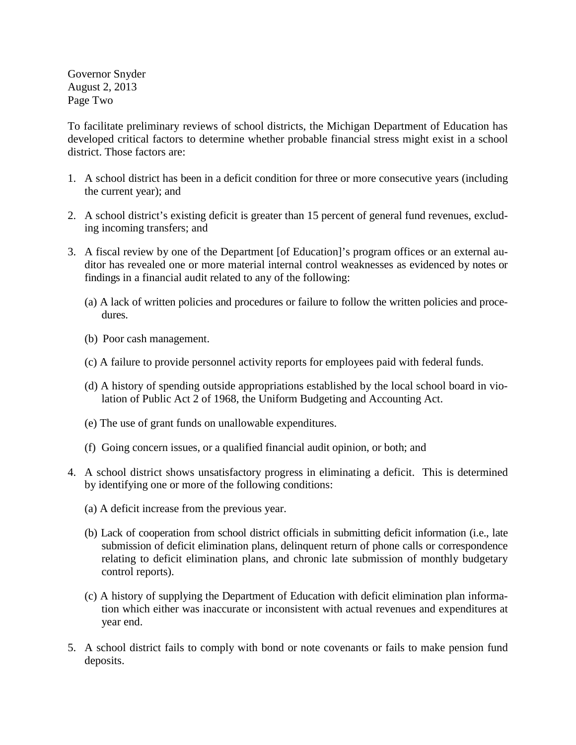Governor Snyder August 2, 2013 Page Two

To facilitate preliminary reviews of school districts, the Michigan Department of Education has developed critical factors to determine whether probable financial stress might exist in a school district. Those factors are:

- 1. A school district has been in a deficit condition for three or more consecutive years (including the current year); and
- 2. A school district's existing deficit is greater than 15 percent of general fund revenues, excluding incoming transfers; and
- 3. A fiscal review by one of the Department [of Education]'s program offices or an external auditor has revealed one or more material internal control weaknesses as evidenced by notes or findings in a financial audit related to any of the following:
	- (a) A lack of written policies and procedures or failure to follow the written policies and procedures.
	- (b) Poor cash management.
	- (c) A failure to provide personnel activity reports for employees paid with federal funds.
	- (d) A history of spending outside appropriations established by the local school board in violation of Public Act 2 of 1968, the Uniform Budgeting and Accounting Act.
	- (e) The use of grant funds on unallowable expenditures.
	- (f) Going concern issues, or a qualified financial audit opinion, or both; and
- 4. A school district shows unsatisfactory progress in eliminating a deficit. This is determined by identifying one or more of the following conditions:
	- (a) A deficit increase from the previous year.
	- (b) Lack of cooperation from school district officials in submitting deficit information (i.e., late submission of deficit elimination plans, delinquent return of phone calls or correspondence relating to deficit elimination plans, and chronic late submission of monthly budgetary control reports).
	- (c) A history of supplying the Department of Education with deficit elimination plan information which either was inaccurate or inconsistent with actual revenues and expenditures at year end.
- 5. A school district fails to comply with bond or note covenants or fails to make pension fund deposits.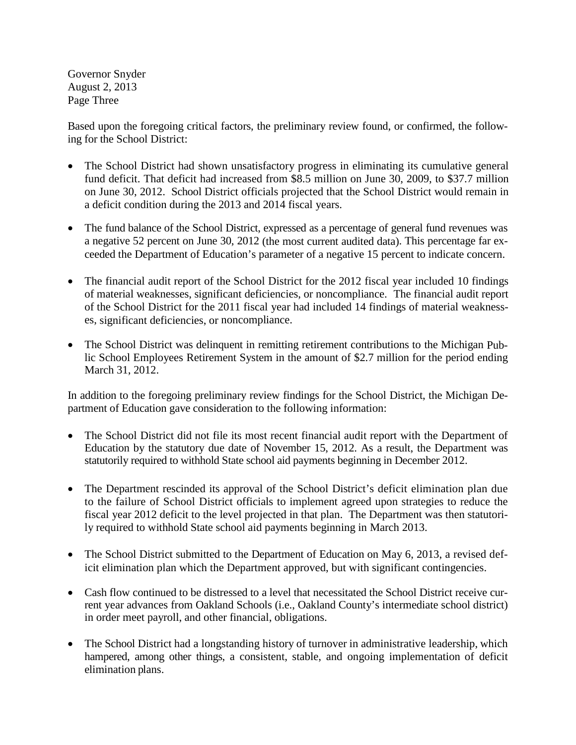Governor Snyder August 2, 2013 Page Three

Based upon the foregoing critical factors, the preliminary review found, or confirmed, the following for the School District:

- The School District had shown unsatisfactory progress in eliminating its cumulative general fund deficit. That deficit had increased from \$8.5 million on June 30, 2009, to \$37.7 million on June 30, 2012. School District officials projected that the School District would remain in a deficit condition during the 2013 and 2014 fiscal years.
- The fund balance of the School District, expressed as a percentage of general fund revenues was a negative 52 percent on June 30, 2012 (the most current audited data). This percentage far exceeded the Department of Education's parameter of a negative 15 percent to indicate concern.
- The financial audit report of the School District for the 2012 fiscal year included 10 findings of material weaknesses, significant deficiencies, or noncompliance. The financial audit report of the School District for the 2011 fiscal year had included 14 findings of material weaknesses, significant deficiencies, or noncompliance.
- The School District was delinquent in remitting retirement contributions to the Michigan Public School Employees Retirement System in the amount of \$2.7 million for the period ending March 31, 2012.

In addition to the foregoing preliminary review findings for the School District, the Michigan Department of Education gave consideration to the following information:

- The School District did not file its most recent financial audit report with the Department of Education by the statutory due date of November 15, 2012. As a result, the Department was statutorily required to withhold State school aid payments beginning in December 2012.
- The Department rescinded its approval of the School District's deficit elimination plan due to the failure of School District officials to implement agreed upon strategies to reduce the fiscal year 2012 deficit to the level projected in that plan. The Department was then statutorily required to withhold State school aid payments beginning in March 2013.
- The School District submitted to the Department of Education on May 6, 2013, a revised deficit elimination plan which the Department approved, but with significant contingencies.
- Cash flow continued to be distressed to a level that necessitated the School District receive current year advances from Oakland Schools (i.e., Oakland County's intermediate school district) in order meet payroll, and other financial, obligations.
- The School District had a longstanding history of turnover in administrative leadership, which hampered, among other things, a consistent, stable, and ongoing implementation of deficit elimination plans.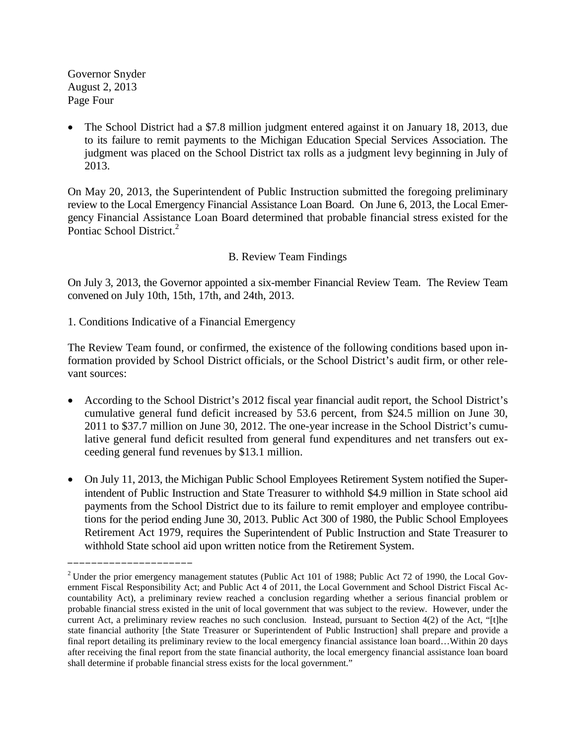Governor Snyder August 2, 2013 Page Four

• The School District had a \$7.8 million judgment entered against it on January 18, 2013, due to its failure to remit payments to the Michigan Education Special Services Association. The judgment was placed on the School District tax rolls as a judgment levy beginning in July of 2013.

On May 20, 2013, the Superintendent of Public Instruction submitted the foregoing preliminary review to the Local Emergency Financial Assistance Loan Board. On June 6, 2013, the Local Emergency Financial Assistance Loan Board determined that probable financial stress existed for the Pontiac School District.<sup>2</sup>

# B. Review Team Findings

On July 3, 2013, the Governor appointed a six-member Financial Review Team. The Review Team convened on July 10th, 15th, 17th, and 24th, 2013.

1. Conditions Indicative of a Financial Emergency

\_\_\_\_\_\_\_\_\_\_\_\_\_\_\_\_\_\_\_\_\_

The Review Team found, or confirmed, the existence of the following conditions based upon information provided by School District officials, or the School District's audit firm, or other relevant sources:

- According to the School District's 2012 fiscal year financial audit report, the School District's cumulative general fund deficit increased by 53.6 percent, from \$24.5 million on June 30, 2011 to \$37.7 million on June 30, 2012. The one-year increase in the School District's cumulative general fund deficit resulted from general fund expenditures and net transfers out exceeding general fund revenues by \$13.1 million.
- On July 11, 2013, the Michigan Public School Employees Retirement System notified the Superintendent of Public Instruction and State Treasurer to withhold \$4.9 million in State school aid payments from the School District due to its failure to remit employer and employee contributions for the period ending June 30, 2013. Public Act 300 of 1980, the Public School Employees Retirement Act 1979, requires the Superintendent of Public Instruction and State Treasurer to withhold State school aid upon written notice from the Retirement System.

<sup>&</sup>lt;sup>2</sup> Under the prior emergency management statutes (Public Act 101 of 1988; Public Act 72 of 1990, the Local Government Fiscal Responsibility Act; and Public Act 4 of 2011, the Local Government and School District Fiscal Accountability Act), a preliminary review reached a conclusion regarding whether a serious financial problem or probable financial stress existed in the unit of local government that was subject to the review. However, under the current Act, a preliminary review reaches no such conclusion. Instead, pursuant to Section 4(2) of the Act, "[t]he state financial authority [the State Treasurer or Superintendent of Public Instruction] shall prepare and provide a final report detailing its preliminary review to the local emergency financial assistance loan board…Within 20 days after receiving the final report from the state financial authority, the local emergency financial assistance loan board shall determine if probable financial stress exists for the local government."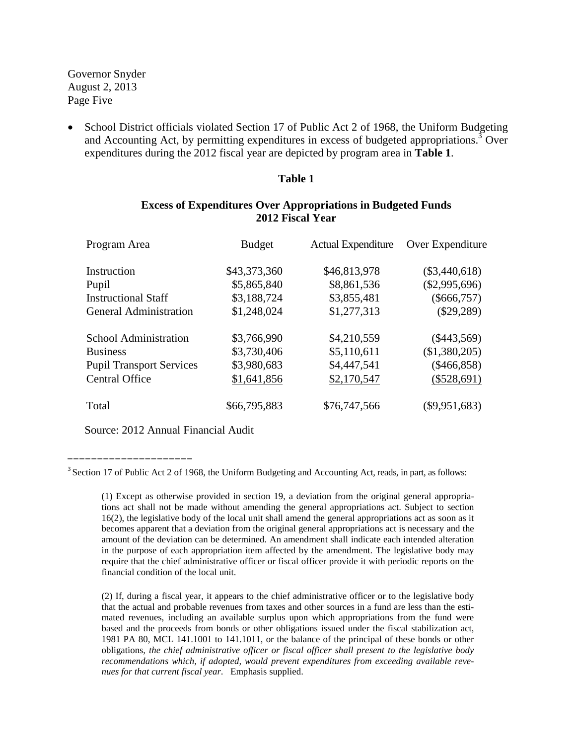Governor Snyder August 2, 2013 Page Five

School District officials violated Section 17 of Public Act 2 of 1968, the Uniform Budgeting and Accounting Act, by permitting expenditures in excess of budgeted appropriations.<sup>3</sup> Over expenditures during the 2012 fiscal year are depicted by program area in **Table 1**.

#### **Table 1**

## **Excess of Expenditures Over Appropriations in Budgeted Funds 2012 Fiscal Year**

| Program Area                    | <b>Budget</b> | <b>Actual Expenditure</b> | Over Expenditure |  |
|---------------------------------|---------------|---------------------------|------------------|--|
| Instruction                     | \$43,373,360  | \$46,813,978              | $(\$3,440,618)$  |  |
| Pupil                           | \$5,865,840   | \$8,861,536               | $(\$2,995,696)$  |  |
| <b>Instructional Staff</b>      | \$3,188,724   | \$3,855,481               | $(\$666,757)$    |  |
| <b>General Administration</b>   | \$1,248,024   | \$1,277,313               | $(\$29,289)$     |  |
| <b>School Administration</b>    | \$3,766,990   | \$4,210,559               | $(\$443,569)$    |  |
| <b>Business</b>                 | \$3,730,406   | \$5,110,611               | (\$1,380,205)    |  |
| <b>Pupil Transport Services</b> | \$3,980,683   | \$4,447,541               | $(\$466,858)$    |  |
| <b>Central Office</b>           | \$1,641,856   | \$2,170,547               | (\$528,691)      |  |
| Total                           | \$66,795,883  | \$76,747,566              | $(\$9,951,683)$  |  |

Source: 2012 Annual Financial Audit

\_\_\_\_\_\_\_\_\_\_\_\_\_\_\_\_\_\_\_\_\_

<sup>&</sup>lt;sup>3</sup> Section 17 of Public Act 2 of 1968, the Uniform Budgeting and Accounting Act, reads, in part, as follows:

<sup>(1)</sup> Except as otherwise provided in section 19, a deviation from the original general appropriations act shall not be made without amending the general appropriations act. Subject to section 16(2), the legislative body of the local unit shall amend the general appropriations act as soon as it becomes apparent that a deviation from the original general appropriations act is necessary and the amount of the deviation can be determined. An amendment shall indicate each intended alteration in the purpose of each appropriation item affected by the amendment. The legislative body may require that the chief administrative officer or fiscal officer provide it with periodic reports on the financial condition of the local unit.

<sup>(2)</sup> If, during a fiscal year, it appears to the chief administrative officer or to the legislative body that the actual and probable revenues from taxes and other sources in a fund are less than the estimated revenues, including an available surplus upon which appropriations from the fund were based and the proceeds from bonds or other obligations issued under the fiscal stabilization act, 1981 PA 80, MCL 141.1001 to 141.1011, or the balance of the principal of these bonds or other obligations, *the chief administrative officer or fiscal officer shall present to the legislative body recommendations which, if adopted, would prevent expenditures from exceeding available revenues for that current fiscal year*. Emphasis supplied.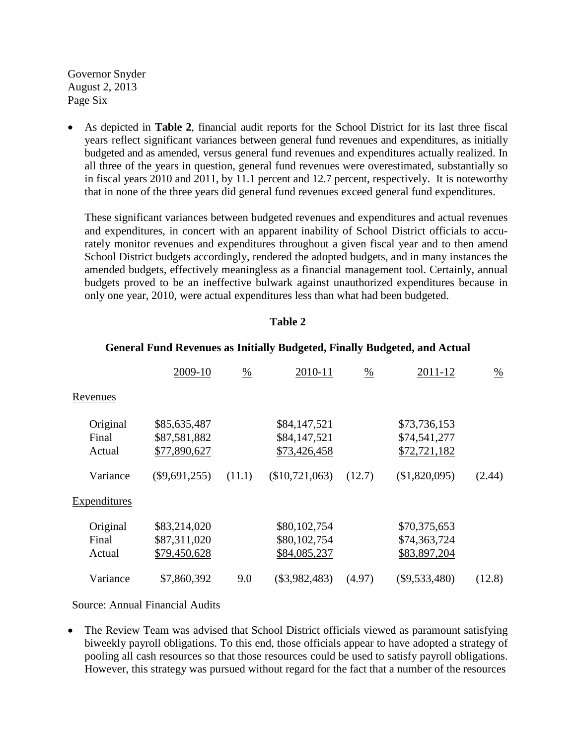Governor Snyder August 2, 2013 Page Six

• As depicted in **Table 2**, financial audit reports for the School District for its last three fiscal years reflect significant variances between general fund revenues and expenditures, as initially budgeted and as amended, versus general fund revenues and expenditures actually realized. In all three of the years in question, general fund revenues were overestimated, substantially so in fiscal years 2010 and 2011, by 11.1 percent and 12.7 percent, respectively. It is noteworthy that in none of the three years did general fund revenues exceed general fund expenditures.

These significant variances between budgeted revenues and expenditures and actual revenues and expenditures, in concert with an apparent inability of School District officials to accurately monitor revenues and expenditures throughout a given fiscal year and to then amend School District budgets accordingly, rendered the adopted budgets, and in many instances the amended budgets, effectively meaningless as a financial management tool. Certainly, annual budgets proved to be an ineffective bulwark against unauthorized expenditures because in only one year, 2010, were actual expenditures less than what had been budgeted.

#### **Table 2**

|                             | 2009-10                                      | $\frac{0}{0}$ | 2010-11                                      | $\frac{0}{0}$ | 2011-12                                      | $\frac{0}{0}$ |
|-----------------------------|----------------------------------------------|---------------|----------------------------------------------|---------------|----------------------------------------------|---------------|
| Revenues                    |                                              |               |                                              |               |                                              |               |
| Original<br>Final<br>Actual | \$85,635,487<br>\$87,581,882<br>\$77,890,627 |               | \$84,147,521<br>\$84,147,521<br>\$73,426,458 |               | \$73,736,153<br>\$74,541,277<br>\$72,721,182 |               |
| Variance                    | $(\$9,691,255)$                              | (11.1)        | (\$10,721,063)                               | (12.7)        | (\$1,820,095)                                | (2.44)        |
| <b>Expenditures</b>         |                                              |               |                                              |               |                                              |               |
| Original<br>Final<br>Actual | \$83,214,020<br>\$87,311,020<br>\$79,450,628 |               | \$80,102,754<br>\$80,102,754<br>\$84,085,237 |               | \$70,375,653<br>\$74,363,724<br>\$83,897,204 |               |
| Variance                    | \$7,860,392                                  | 9.0           | $(\$3,982,483)$                              | (4.97)        | $(\$9,533,480)$                              | (12.8)        |

#### **General Fund Revenues as Initially Budgeted, Finally Budgeted, and Actual**

Source: Annual Financial Audits

• The Review Team was advised that School District officials viewed as paramount satisfying biweekly payroll obligations. To this end, those officials appear to have adopted a strategy of pooling all cash resources so that those resources could be used to satisfy payroll obligations. However, this strategy was pursued without regard for the fact that a number of the resources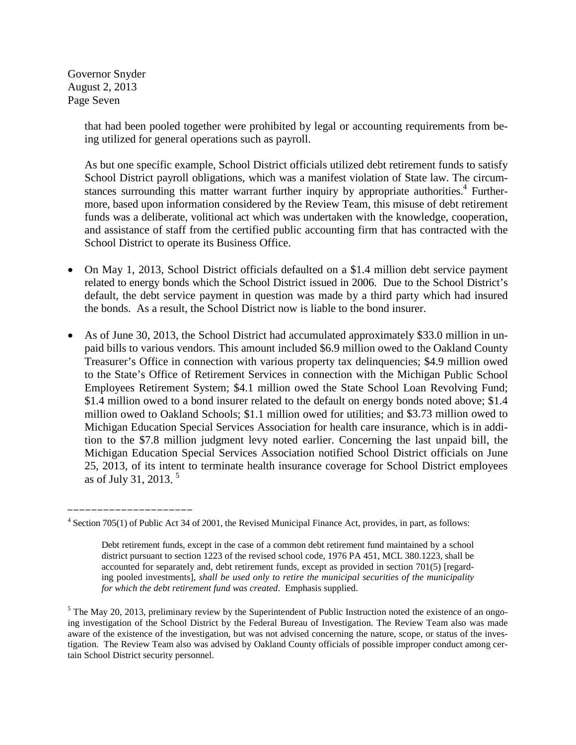Governor Snyder August 2, 2013 Page Seven

\_\_\_\_\_\_\_\_\_\_\_\_\_\_\_\_\_\_\_\_\_

that had been pooled together were prohibited by legal or accounting requirements from being utilized for general operations such as payroll.

As but one specific example, School District officials utilized debt retirement funds to satisfy School District payroll obligations, which was a manifest violation of State law. The circumstances surrounding this matter warrant further inquiry by appropriate authorities.<sup>4</sup> Furthermore, based upon information considered by the Review Team, this misuse of debt retirement funds was a deliberate, volitional act which was undertaken with the knowledge, cooperation, and assistance of staff from the certified public accounting firm that has contracted with the School District to operate its Business Office.

- On May 1, 2013, School District officials defaulted on a \$1.4 million debt service payment related to energy bonds which the School District issued in 2006. Due to the School District's default, the debt service payment in question was made by a third party which had insured the bonds. As a result, the School District now is liable to the bond insurer.
- As of June 30, 2013, the School District had accumulated approximately \$33.0 million in unpaid bills to various vendors. This amount included \$6.9 million owed to the Oakland County Treasurer's Office in connection with various property tax delinquencies; \$4.9 million owed to the State's Office of Retirement Services in connection with the Michigan Public School Employees Retirement System; \$4.1 million owed the State School Loan Revolving Fund; \$1.4 million owed to a bond insurer related to the default on energy bonds noted above; \$1.4 million owed to Oakland Schools; \$1.1 million owed for utilities; and \$3.73 million owed to Michigan Education Special Services Association for health care insurance, which is in addition to the \$7.8 million judgment levy noted earlier. Concerning the last unpaid bill, the Michigan Education Special Services Association notified School District officials on June 25, 2013, of its intent to terminate health insurance coverage for School District employees as of July 31, 2013. 5

<sup>&</sup>lt;sup>4</sup> Section 705(1) of Public Act 34 of 2001, the Revised Municipal Finance Act, provides, in part, as follows:

Debt retirement funds, except in the case of a common debt retirement fund maintained by a school district pursuant to section 1223 of the revised school code, 1976 PA 451, MCL 380.1223, shall be accounted for separately and, debt retirement funds, except as provided in section 701(5) [regarding pooled investments], *shall be used only to retire the municipal securities of the municipality for which the debt retirement fund was created*. Emphasis supplied.

 $<sup>5</sup>$  The May 20, 2013, preliminary review by the Superintendent of Public Instruction noted the existence of an ongo-</sup> ing investigation of the School District by the Federal Bureau of Investigation. The Review Team also was made aware of the existence of the investigation, but was not advised concerning the nature, scope, or status of the investigation. The Review Team also was advised by Oakland County officials of possible improper conduct among certain School District security personnel.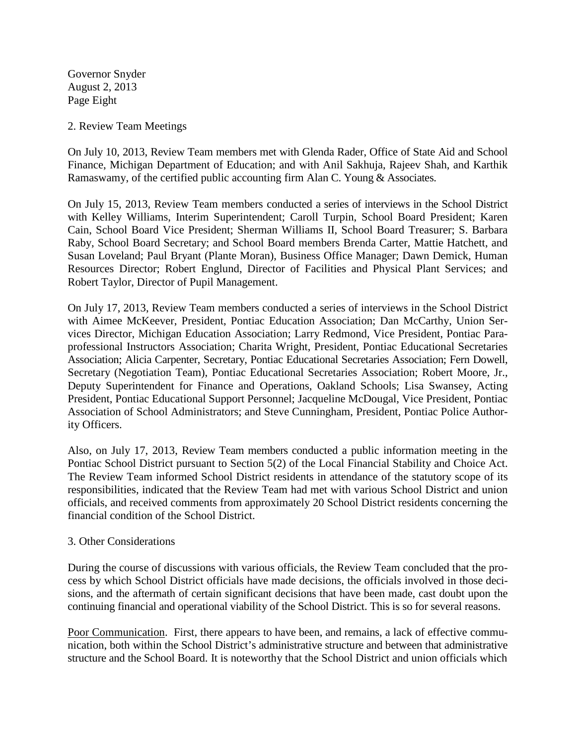Governor Snyder August 2, 2013 Page Eight

2. Review Team Meetings

On July 10, 2013, Review Team members met with Glenda Rader, Office of State Aid and School Finance, Michigan Department of Education; and with Anil Sakhuja, Rajeev Shah, and Karthik Ramaswamy, of the certified public accounting firm Alan C. Young & Associates.

On July 15, 2013, Review Team members conducted a series of interviews in the School District with Kelley Williams, Interim Superintendent; Caroll Turpin, School Board President; Karen Cain, School Board Vice President; Sherman Williams II, School Board Treasurer; S. Barbara Raby, School Board Secretary; and School Board members Brenda Carter, Mattie Hatchett, and Susan Loveland; Paul Bryant (Plante Moran), Business Office Manager; Dawn Demick, Human Resources Director; Robert Englund, Director of Facilities and Physical Plant Services; and Robert Taylor, Director of Pupil Management.

On July 17, 2013, Review Team members conducted a series of interviews in the School District with Aimee McKeever, President, Pontiac Education Association; Dan McCarthy, Union Services Director, Michigan Education Association; Larry Redmond, Vice President, Pontiac Paraprofessional Instructors Association; Charita Wright, President, Pontiac Educational Secretaries Association; Alicia Carpenter, Secretary, Pontiac Educational Secretaries Association; Fern Dowell, Secretary (Negotiation Team), Pontiac Educational Secretaries Association; Robert Moore, Jr., Deputy Superintendent for Finance and Operations, Oakland Schools; Lisa Swansey, Acting President, Pontiac Educational Support Personnel; Jacqueline McDougal, Vice President, Pontiac Association of School Administrators; and Steve Cunningham, President, Pontiac Police Authority Officers.

Also, on July 17, 2013, Review Team members conducted a public information meeting in the Pontiac School District pursuant to Section 5(2) of the Local Financial Stability and Choice Act. The Review Team informed School District residents in attendance of the statutory scope of its responsibilities, indicated that the Review Team had met with various School District and union officials, and received comments from approximately 20 School District residents concerning the financial condition of the School District.

### 3. Other Considerations

During the course of discussions with various officials, the Review Team concluded that the process by which School District officials have made decisions, the officials involved in those decisions, and the aftermath of certain significant decisions that have been made, cast doubt upon the continuing financial and operational viability of the School District. This is so for several reasons.

Poor Communication. First, there appears to have been, and remains, a lack of effective communication, both within the School District's administrative structure and between that administrative structure and the School Board. It is noteworthy that the School District and union officials which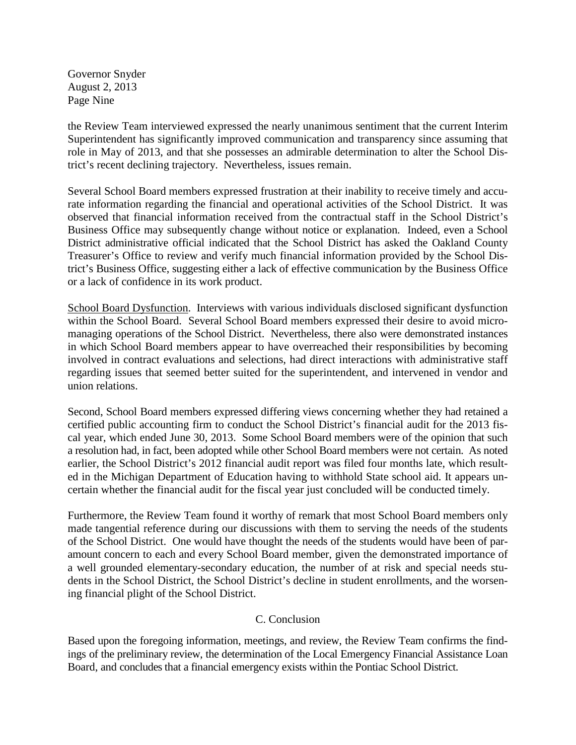Governor Snyder August 2, 2013 Page Nine

the Review Team interviewed expressed the nearly unanimous sentiment that the current Interim Superintendent has significantly improved communication and transparency since assuming that role in May of 2013, and that she possesses an admirable determination to alter the School District's recent declining trajectory. Nevertheless, issues remain.

Several School Board members expressed frustration at their inability to receive timely and accurate information regarding the financial and operational activities of the School District. It was observed that financial information received from the contractual staff in the School District's Business Office may subsequently change without notice or explanation. Indeed, even a School District administrative official indicated that the School District has asked the Oakland County Treasurer's Office to review and verify much financial information provided by the School District's Business Office, suggesting either a lack of effective communication by the Business Office or a lack of confidence in its work product.

School Board Dysfunction. Interviews with various individuals disclosed significant dysfunction within the School Board. Several School Board members expressed their desire to avoid micromanaging operations of the School District. Nevertheless, there also were demonstrated instances in which School Board members appear to have overreached their responsibilities by becoming involved in contract evaluations and selections, had direct interactions with administrative staff regarding issues that seemed better suited for the superintendent, and intervened in vendor and union relations.

Second, School Board members expressed differing views concerning whether they had retained a certified public accounting firm to conduct the School District's financial audit for the 2013 fiscal year, which ended June 30, 2013. Some School Board members were of the opinion that such a resolution had, in fact, been adopted while other School Board members were not certain. As noted earlier, the School District's 2012 financial audit report was filed four months late, which resulted in the Michigan Department of Education having to withhold State school aid. It appears uncertain whether the financial audit for the fiscal year just concluded will be conducted timely.

Furthermore, the Review Team found it worthy of remark that most School Board members only made tangential reference during our discussions with them to serving the needs of the students of the School District. One would have thought the needs of the students would have been of paramount concern to each and every School Board member, given the demonstrated importance of a well grounded elementary-secondary education, the number of at risk and special needs students in the School District, the School District's decline in student enrollments, and the worsening financial plight of the School District.

# C. Conclusion

Based upon the foregoing information, meetings, and review, the Review Team confirms the findings of the preliminary review, the determination of the Local Emergency Financial Assistance Loan Board, and concludes that a financial emergency exists within the Pontiac School District.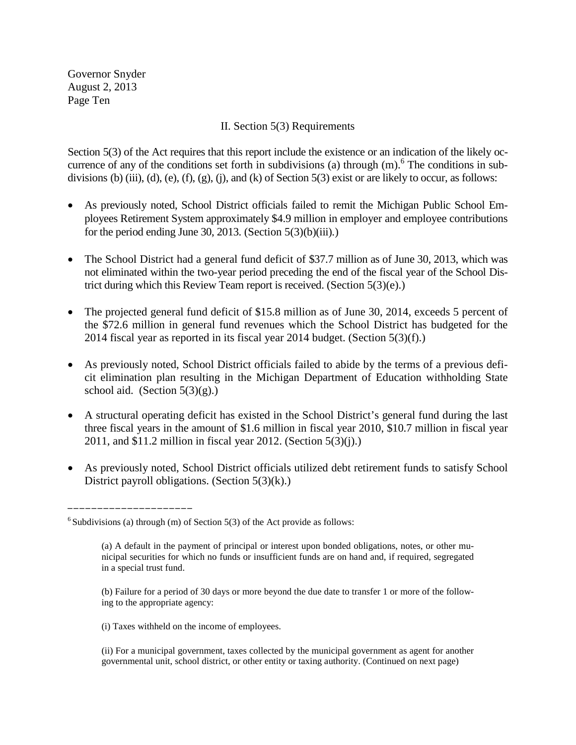Governor Snyder August 2, 2013 Page Ten

### II. Section 5(3) Requirements

Section 5(3) of the Act requires that this report include the existence or an indication of the likely occurrence of any of the conditions set forth in subdivisions (a) through  $(m)$ .<sup>6</sup> The conditions in subdivisions (b) (iii), (d), (e), (f), (g), (j), and (k) of Section 5(3) exist or are likely to occur, as follows:

- As previously noted, School District officials failed to remit the Michigan Public School Employees Retirement System approximately \$4.9 million in employer and employee contributions for the period ending June 30, 2013. (Section  $5(3)(b)(iii)$ .)
- The School District had a general fund deficit of \$37.7 million as of June 30, 2013, which was not eliminated within the two-year period preceding the end of the fiscal year of the School District during which this Review Team report is received. (Section 5(3)(e).)
- The projected general fund deficit of \$15.8 million as of June 30, 2014, exceeds 5 percent of the \$72.6 million in general fund revenues which the School District has budgeted for the 2014 fiscal year as reported in its fiscal year 2014 budget. (Section 5(3)(f).)
- As previously noted, School District officials failed to abide by the terms of a previous deficit elimination plan resulting in the Michigan Department of Education withholding State school aid. (Section  $5(3)(g)$ .)
- A structural operating deficit has existed in the School District's general fund during the last three fiscal years in the amount of \$1.6 million in fiscal year 2010, \$10.7 million in fiscal year 2011, and \$11.2 million in fiscal year 2012. (Section 5(3)(j).)
- As previously noted, School District officials utilized debt retirement funds to satisfy School District payroll obligations. (Section 5(3)(k).)

\_\_\_\_\_\_\_\_\_\_\_\_\_\_\_\_\_\_\_\_\_

(i) Taxes withheld on the income of employees.

 $6$  Subdivisions (a) through (m) of Section 5(3) of the Act provide as follows:

<sup>(</sup>a) A default in the payment of principal or interest upon bonded obligations, notes, or other municipal securities for which no funds or insufficient funds are on hand and, if required, segregated in a special trust fund.

<sup>(</sup>b) Failure for a period of 30 days or more beyond the due date to transfer 1 or more of the following to the appropriate agency:

<sup>(</sup>ii) For a municipal government, taxes collected by the municipal government as agent for another governmental unit, school district, or other entity or taxing authority. (Continued on next page)